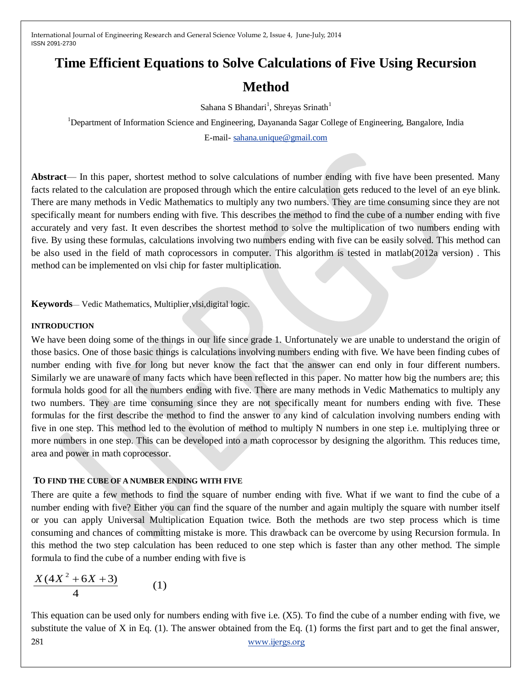# **Time Efficient Equations to Solve Calculations of Five Using Recursion**

# **Method**

Sahana S Bhandari<sup>1</sup>, Shreyas Srinath<sup>1</sup>

<sup>1</sup>Department of Information Science and Engineering, Dayananda Sagar College of Engineering, Bangalore, India

E-mail- [sahana.unique@gmail.com](mailto:sahana.unique@gmail.com)

**Abstract**— In this paper, shortest method to solve calculations of number ending with five have been presented. Many facts related to the calculation are proposed through which the entire calculation gets reduced to the level of an eye blink. There are many methods in Vedic Mathematics to multiply any two numbers. They are time consuming since they are not specifically meant for numbers ending with five. This describes the method to find the cube of a number ending with five accurately and very fast. It even describes the shortest method to solve the multiplication of two numbers ending with five. By using these formulas, calculations involving two numbers ending with five can be easily solved. This method can be also used in the field of math coprocessors in computer. This algorithm is tested in matlab(2012a version) . This method can be implemented on vlsi chip for faster multiplication.

**Keywords**— Vedic Mathematics, Multiplier,vlsi,digital logic.

## **INTRODUCTION**

We have been doing some of the things in our life since grade 1. Unfortunately we are unable to understand the origin of those basics. One of those basic things is calculations involving numbers ending with five. We have been finding cubes of number ending with five for long but never know the fact that the answer can end only in four different numbers. Similarly we are unaware of many facts which have been reflected in this paper. No matter how big the numbers are; this formula holds good for all the numbers ending with five. There are many methods in Vedic Mathematics to multiply any two numbers. They are time consuming since they are not specifically meant for numbers ending with five. These formulas for the first describe the method to find the answer to any kind of calculation involving numbers ending with five in one step. This method led to the evolution of method to multiply N numbers in one step i.e. multiplying three or more numbers in one step. This can be developed into a math coprocessor by designing the algorithm. This reduces time, area and power in math coprocessor.

## **TO FIND THE CUBE OF A NUMBER ENDING WITH FIVE**

There are quite a few methods to find the square of number ending with five. What if we want to find the cube of a number ending with five? Either you can find the square of the number and again multiply the square with number itself or you can apply Universal Multiplication Equation twice. Both the methods are two step process which is time consuming and chances of committing mistake is more. This drawback can be overcome by using Recursion formula. In this method the two step calculation has been reduced to one step which is faster than any other method. The simple formula to find the cube of a number ending with five is

$$
\frac{X(4X^2 + 6X + 3)}{4} \tag{1}
$$

281 [www.ijergs.org](http://www.ijergs.org/) This equation can be used only for numbers ending with five i.e. (X5). To find the cube of a number ending with five, we substitute the value of X in Eq. (1). The answer obtained from the Eq. (1) forms the first part and to get the final answer,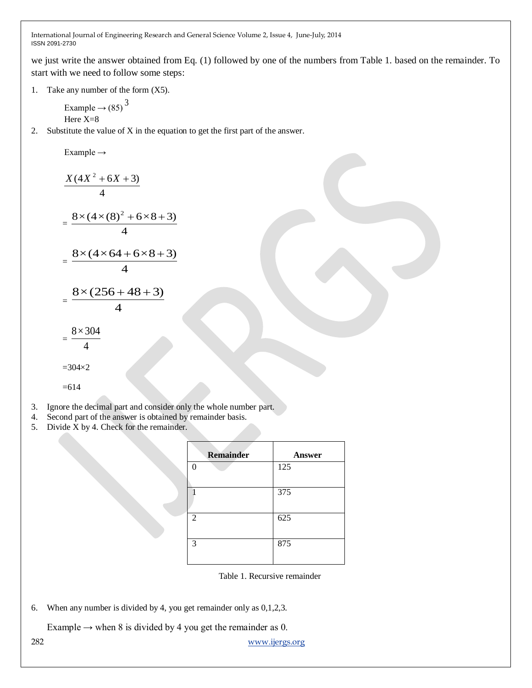we just write the answer obtained from Eq. (1) followed by one of the numbers from Table 1. based on the remainder. To start with we need to follow some steps:

1. Take any number of the form (X5).

Example 
$$
\rightarrow
$$
 (85)<sup>3</sup>  
Here X=8

2. Substitute the value of X in the equation to get the first part of the answer.

$$
Example \rightarrow
$$

$$
\frac{X(4X^2 + 6X + 3)}{4}
$$
\n
$$
= \frac{8 \times (4 \times (8)^2 + 6 \times 8 + 3)}{4}
$$
\n
$$
= \frac{8 \times (4 \times 64 + 6 \times 8 + 3)}{4}
$$
\n
$$
= \frac{8 \times (256 + 48 + 3)}{4}
$$

4

$$
f_{\rm{max}}
$$

=  $8\times304$ 

$$
-4\phantom{.00}
$$

 $=304\times2$ 

$$
=614
$$

- 3. Ignore the decimal part and consider only the whole number part.
- 4. Second part of the answer is obtained by remainder basis.
- 5. Divide X by 4. Check for the remainder.

| <b>Remainder</b> | <b>Answer</b> |
|------------------|---------------|
|                  | 125           |
|                  | 375           |
| 2                | 625           |
| 3                | 875           |

Table 1. Recursive remainder

6. When any number is divided by 4, you get remainder only as 0,1,2,3.

Example  $\rightarrow$  when 8 is divided by 4 you get the remainder as 0.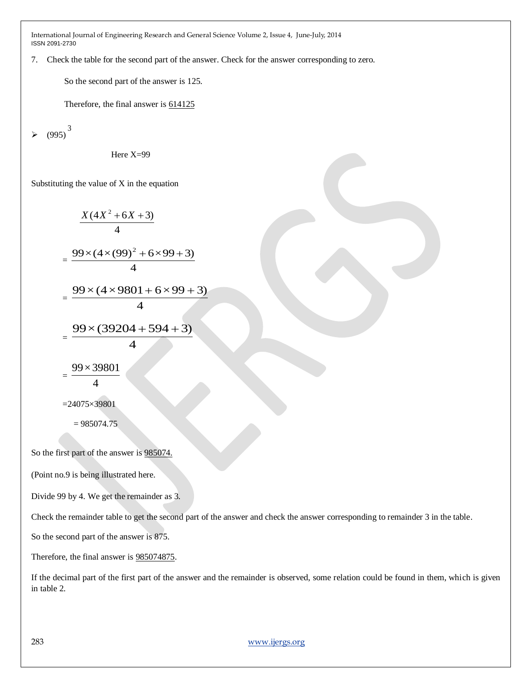7. Check the table for the second part of the answer. Check for the answer corresponding to zero.

So the second part of the answer is 125.

Therefore, the final answer is  $614125$ 

 $\geqslant$  (995)<sup>3</sup>

Here  $X=99$ 

Substituting the value of X in the equation

$$
\frac{X(4X^2 + 6X + 3)}{4}
$$
\n
$$
= \frac{99 \times (4 \times (99)^2 + 6 \times 99 + 3)}{4}
$$
\n
$$
= \frac{99 \times (4 \times 9801 + 6 \times 99 + 3)}{4}
$$
\n
$$
= \frac{99 \times (39204 + 594 + 3)}{4}
$$
\n
$$
= \frac{99 \times 39801}{4}
$$
\n
$$
= 24075 \times 39801
$$
\n
$$
= 985074.75
$$

So the first part of the answer is 985074.

(Point no.9 is being illustrated here.

Divide 99 by 4. We get the remainder as 3.

Check the remainder table to get the second part of the answer and check the answer corresponding to remainder 3 in the table.

So the second part of the answer is 875.

Therefore, the final answer is 985074875.

If the decimal part of the first part of the answer and the remainder is observed, some relation could be found in them, which is given in table 2.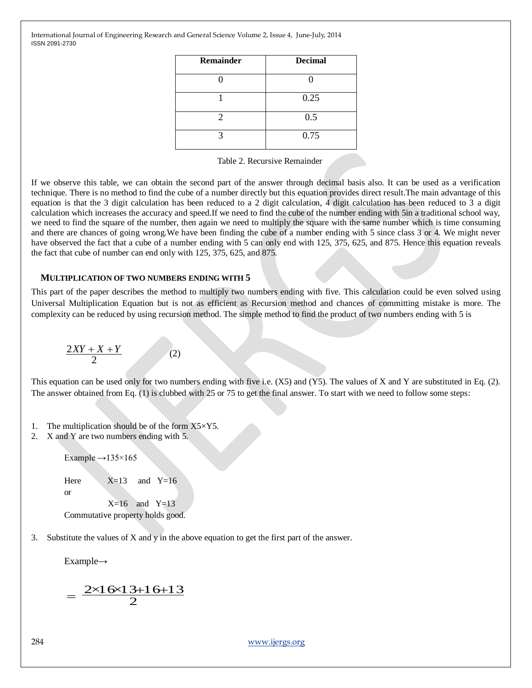| <b>Remainder</b>      | <b>Decimal</b> |  |
|-----------------------|----------------|--|
|                       |                |  |
|                       | 0.25           |  |
| $\mathcal{D}_{\cdot}$ | 0.5            |  |
| 2                     | 0.75           |  |

|  |  | Table 2. Recursive Remainder |
|--|--|------------------------------|
|--|--|------------------------------|

If we observe this table, we can obtain the second part of the answer through decimal basis also. It can be used as a verification technique. There is no method to find the cube of a number directly but this equation provides direct result.The main advantage of this equation is that the 3 digit calculation has been reduced to a 2 digit calculation, 4 digit calculation has been reduced to 3 a digit calculation which increases the accuracy and speed.If we need to find the cube of the number ending with 5in a traditional school way, we need to find the square of the number, then again we need to multiply the square with the same number which is time consuming and there are chances of going wrong.We have been finding the cube of a number ending with 5 since class 3 or 4. We might never have observed the fact that a cube of a number ending with 5 can only end with 125, 375, 625, and 875. Hence this equation reveals the fact that cube of number can end only with 125, 375, 625, and 875.

#### **MULTIPLICATION OF TWO NUMBERS ENDING WITH 5**

This part of the paper describes the method to multiply two numbers ending with five. This calculation could be even solved using Universal Multiplication Equation but is not as efficient as Recursion method and chances of committing mistake is more. The complexity can be reduced by using recursion method. The simple method to find the product of two numbers ending with 5 is

$$
\frac{2XY + X + Y}{2} \tag{2}
$$

This equation can be used only for two numbers ending with five i.e. (X5) and (Y5). The values of X and Y are substituted in Eq. (2). The answer obtained from Eq. (1) is clubbed with 25 or 75 to get the final answer. To start with we need to follow some steps:

- 1. The multiplication should be of the form  $X5 \times Y5$ .
- 2. X and Y are two numbers ending with 5.

Example  $\rightarrow$ 135×165

Here  $X=13$  and  $Y=16$ 

or

 $X=16$  and  $Y=13$ Commutative property holds good.

3. Substitute the values of X and y in the above equation to get the first part of the answer.

Example→

$$
=\frac{2 \times 16 \times 13 + 16 + 13}{2}
$$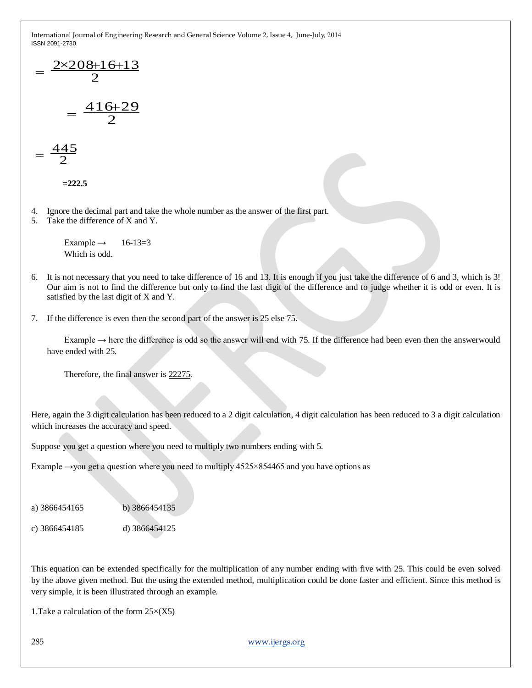$$
= \frac{2 \times 208 + 16 + 13}{2}
$$

$$
= \frac{416 + 29}{2}
$$

$$
=\frac{445}{2}
$$

**=222.5**

- 4. Ignore the decimal part and take the whole number as the answer of the first part.
- 5. Take the difference of X and Y.

Example  $\rightarrow$  16-13=3 Which is odd.

- 6. It is not necessary that you need to take difference of 16 and 13. It is enough if you just take the difference of 6 and 3, which is 3! Our aim is not to find the difference but only to find the last digit of the difference and to judge whether it is odd or even. It is satisfied by the last digit of X and Y.
- 7. If the difference is even then the second part of the answer is 25 else 75.

Example  $\rightarrow$  here the difference is odd so the answer will end with 75. If the difference had been even then the answerwould have ended with 25.

Therefore, the final answer is 22275.

Here, again the 3 digit calculation has been reduced to a 2 digit calculation, 4 digit calculation has been reduced to 3 a digit calculation which increases the accuracy and speed.

Suppose you get a question where you need to multiply two numbers ending with 5.

Example  $\rightarrow$ you get a question where you need to multiply 4525×854465 and you have options as

a) 3866454165 b) 3866454135

c) 3866454185 d) 3866454125

This equation can be extended specifically for the multiplication of any number ending with five with 25. This could be even solved by the above given method. But the using the extended method, multiplication could be done faster and efficient. Since this method is very simple, it is been illustrated through an example.

1. Take a calculation of the form  $25\times(X5)$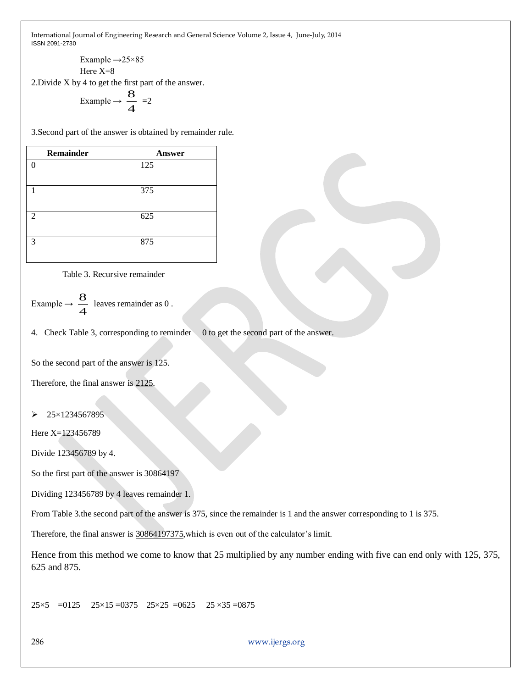> Example  $\rightarrow$  25×85 Here X=8

2.Divide X by 4 to get the first part of the answer.<br>  $\frac{8}{2}$ 

Example 
$$
\rightarrow \frac{8}{4} = 2
$$

3.Second part of the answer is obtained by remainder rule.

| <b>Remainder</b> | Answer |
|------------------|--------|
| U                | 125    |
|                  |        |
| 1                | 375    |
|                  |        |
| $\mathfrak{D}$   | 625    |
|                  |        |
| 3                | 875    |
|                  |        |

Table 3. Recursive remainder

Example 
$$
\rightarrow \frac{8}{4}
$$
 leaves remainder as 0.

4. Check Table 3, corresponding to reminder 0 to get the second part of the answer.

So the second part of the answer is 125.

Therefore, the final answer is 2125.

 $\geq 25 \times 1234567895$ 

Here X=123456789

Divide 123456789 by 4.

So the first part of the answer is 30864197

Dividing 123456789 by 4 leaves remainder 1.

From Table 3.the second part of the answer is 375, since the remainder is 1 and the answer corresponding to 1 is 375.

Therefore, the final answer is 30864197375,which is even out of the calculator's limit.

Hence from this method we come to know that 25 multiplied by any number ending with five can end only with 125, 375, 625 and 875.

 $25\times5$  = 0125 25 $\times15$  = 0375 25 $\times25$  = 0625 25 $\times35$  = 0875